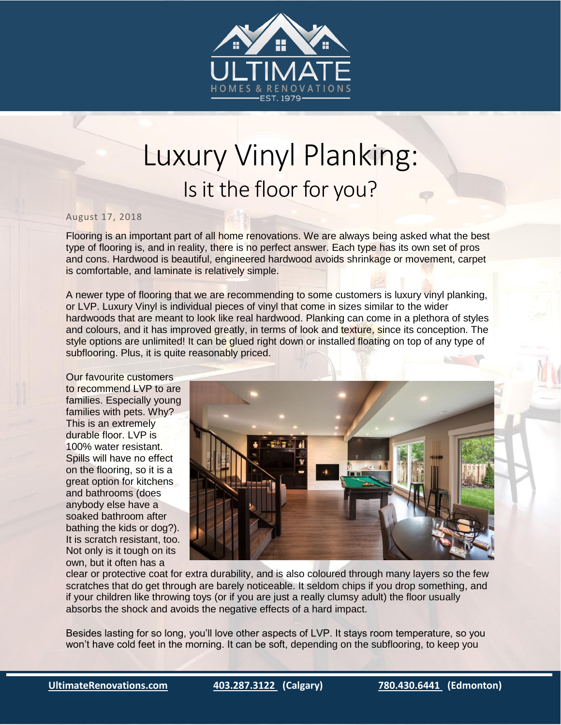

## Luxury Vinyl Planking: Is it the floor for you?

## August 17, 2018

Flooring is an important part of all home renovations. We are always being asked what the best type of flooring is, and in reality, there is no perfect answer. Each type has its own set of pros and cons. Hardwood is beautiful, engineered hardwood avoids shrinkage or movement, carpet is comfortable, and laminate is relatively simple.

A newer type of flooring that we are recommending to some customers is luxury vinyl planking, or LVP. Luxury Vinyl is individual pieces of vinyl that come in sizes similar to the wider hardwoods that are meant to look like real hardwood. Planking can come in a plethora of styles and colours, and it has improved greatly, in terms of look and texture, since its conception. The style options are unlimited! It can be glued right down or installed floating on top of any type of subflooring. Plus, it is quite reasonably priced.

Our favourite customers to recommend LVP to are families. Especially young families with pets. Why? This is an extremely durable floor. LVP is 100% water resistant. Spills will have no effect on the flooring, so it is a great option for kitchens and bathrooms (does anybody else have a soaked bathroom after bathing the kids or dog?). It is scratch resistant, too. Not only is it tough on its own, but it often has a



clear or protective coat for extra durability, and is also coloured through many layers so the few scratches that do get through are barely noticeable. It seldom chips if you drop something, and if your children like throwing toys (or if you are just a really clumsy adult) the floor usually absorbs the shock and avoids the negative effects of a hard impact.

Besides lasting for so long, you'll love other aspects of LVP. It stays room temperature, so you won't have cold feet in the morning. It can be soft, depending on the subflooring, to keep you

i<br>I